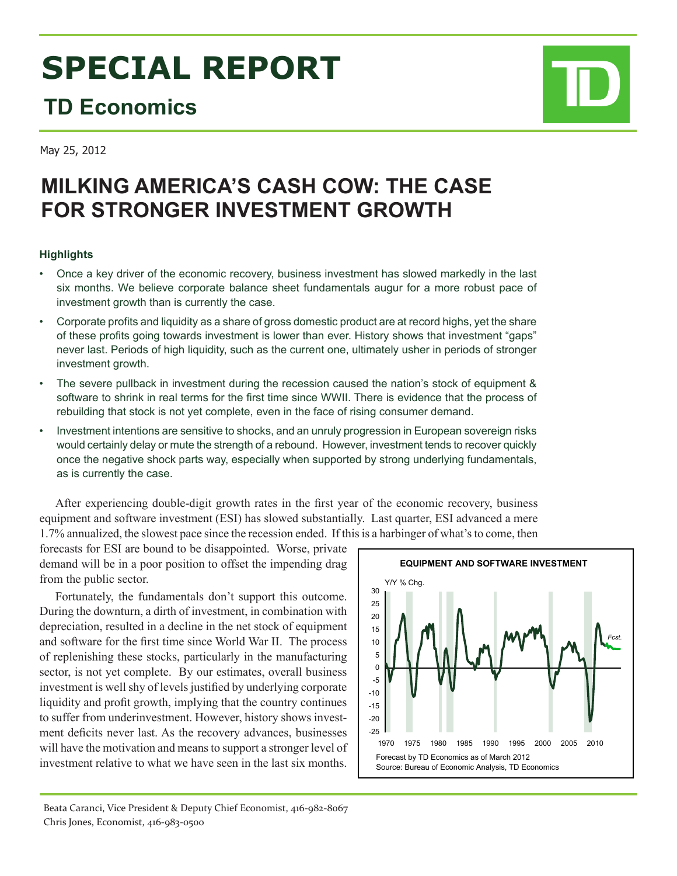# **SPECIAL REPORT**

## **TD Economics**

May 25, 2012

### **MILKING AMERICA'S CASH COW: THE CASE FOR STRONGER INVESTMENT GROWTH**

#### **Highlights**

- Once a key driver of the economic recovery, business investment has slowed markedly in the last six months. We believe corporate balance sheet fundamentals augur for a more robust pace of investment growth than is currently the case.
- • Corporate profits and liquidity as a share of gross domestic product are at record highs, yet the share of these profits going towards investment is lower than ever. History shows that investment "gaps" never last. Periods of high liquidity, such as the current one, ultimately usher in periods of stronger investment growth.
- The severe pullback in investment during the recession caused the nation's stock of equipment & software to shrink in real terms for the first time since WWII. There is evidence that the process of rebuilding that stock is not yet complete, even in the face of rising consumer demand.
- Investment intentions are sensitive to shocks, and an unruly progression in European sovereign risks would certainly delay or mute the strength of a rebound. However, investment tends to recover quickly once the negative shock parts way, especially when supported by strong underlying fundamentals, as is currently the case.

After experiencing double-digit growth rates in the first year of the economic recovery, business equipment and software investment (ESI) has slowed substantially. Last quarter, ESI advanced a mere 1.7% annualized, the slowest pace since the recession ended. If this is a harbinger of what's to come, then

forecasts for ESI are bound to be disappointed. Worse, private demand will be in a poor position to offset the impending drag from the public sector.

Fortunately, the fundamentals don't support this outcome. During the downturn, a dirth of investment, in combination with depreciation, resulted in a decline in the net stock of equipment and software for the first time since World War II. The process of replenishing these stocks, particularly in the manufacturing sector, is not yet complete. By our estimates, overall business investment is well shy of levels justified by underlying corporate liquidity and profit growth, implying that the country continues to suffer from underinvestment. However, history shows investment deficits never last. As the recovery advances, businesses will have the motivation and means to support a stronger level of investment relative to what we have seen in the last six months.



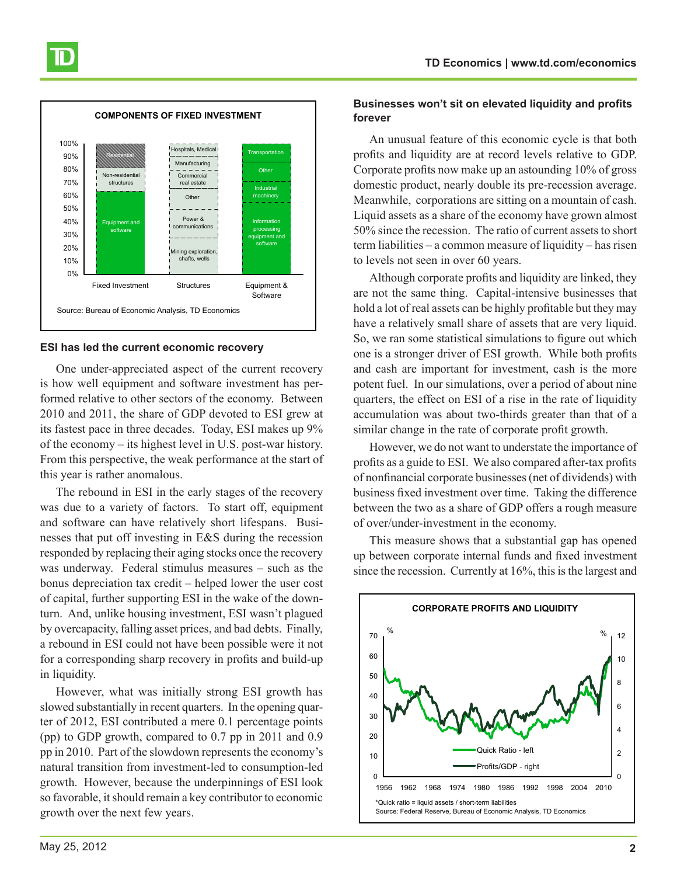

#### **ESI has led the current economic recovery**

One under-appreciated aspect of the current recovery is how well equipment and software investment has performed relative to other sectors of the economy. Between 2010 and 2011, the share of GDP devoted to ESI grew at its fastest pace in three decades. Today, ESI makes up 9% of the economy – its highest level in U.S. post-war history. From this perspective, the weak performance at the start of this year is rather anomalous.

The rebound in ESI in the early stages of the recovery was due to a variety of factors. To start off, equipment and software can have relatively short lifespans. Businesses that put off investing in E&S during the recession responded by replacing their aging stocks once the recovery was underway. Federal stimulus measures – such as the bonus depreciation tax credit – helped lower the user cost of capital, further supporting ESI in the wake of the downturn. And, unlike housing investment, ESI wasn't plagued by overcapacity, falling asset prices, and bad debts. Finally, a rebound in ESI could not have been possible were it not for a corresponding sharp recovery in profits and build-up in liquidity.

However, what was initially strong ESI growth has slowed substantially in recent quarters. In the opening quarter of 2012, ESI contributed a mere 0.1 percentage points (pp) to GDP growth, compared to 0.7 pp in 2011 and 0.9 pp in 2010. Part of the slowdown represents the economy's natural transition from investment-led to consumption-led growth. However, because the underpinnings of ESI look so favorable, it should remain a key contributor to economic growth over the next few years.

#### **Businesses won't sit on elevated liquidity and profits forever**

An unusual feature of this economic cycle is that both profits and liquidity are at record levels relative to GDP. Corporate profits now make up an astounding 10% of gross domestic product, nearly double its pre-recession average. Meanwhile, corporations are sitting on a mountain of cash. Liquid assets as a share of the economy have grown almost 50% since the recession. The ratio of current assets to short term liabilities – a common measure of liquidity – has risen to levels not seen in over 60 years.

Although corporate profits and liquidity are linked, they are not the same thing. Capital-intensive businesses that hold a lot of real assets can be highly profitable but they may have a relatively small share of assets that are very liquid. So, we ran some statistical simulations to figure out which one is a stronger driver of ESI growth. While both profits and cash are important for investment, cash is the more potent fuel. In our simulations, over a period of about nine quarters, the effect on ESI of a rise in the rate of liquidity accumulation was about two-thirds greater than that of a similar change in the rate of corporate profit growth.

However, we do not want to understate the importance of profits as a guide to ESI. We also compared after-tax profits of nonfinancial corporate businesses (net of dividends) with business fixed investment over time. Taking the difference between the two as a share of GDP offers a rough measure of over/under-investment in the economy.

This measure shows that a substantial gap has opened up between corporate internal funds and fixed investment since the recession. Currently at 16%, this is the largest and

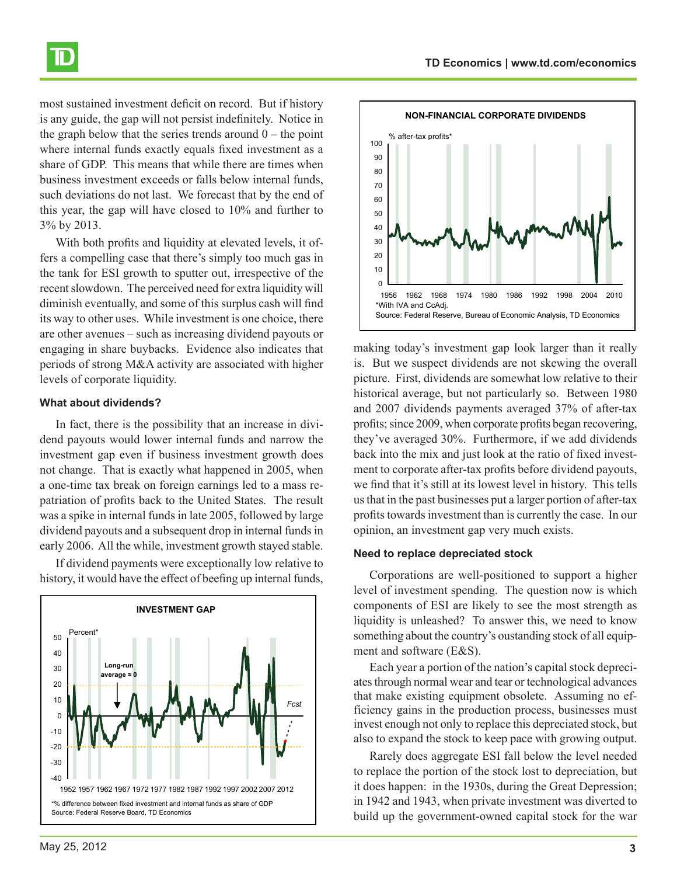



most sustained investment deficit on record. But if history is any guide, the gap will not persist indefinitely. Notice in the graph below that the series trends around  $0$  – the point where internal funds exactly equals fixed investment as a share of GDP. This means that while there are times when business investment exceeds or falls below internal funds, such deviations do not last. We forecast that by the end of this year, the gap will have closed to 10% and further to 3% by 2013.

With both profits and liquidity at elevated levels, it offers a compelling case that there's simply too much gas in the tank for ESI growth to sputter out, irrespective of the recent slowdown. The perceived need for extra liquidity will diminish eventually, and some of this surplus cash will find its way to other uses. While investment is one choice, there are other avenues – such as increasing dividend payouts or engaging in share buybacks. Evidence also indicates that periods of strong M&A activity are associated with higher levels of corporate liquidity.

#### **What about dividends?**

In fact, there is the possibility that an increase in dividend payouts would lower internal funds and narrow the investment gap even if business investment growth does not change. That is exactly what happened in 2005, when a one-time tax break on foreign earnings led to a mass repatriation of profits back to the United States. The result was a spike in internal funds in late 2005, followed by large dividend payouts and a subsequent drop in internal funds in early 2006. All the while, investment growth stayed stable.

If dividend payments were exceptionally low relative to history, it would have the effect of beefing up internal funds,





making today's investment gap look larger than it really is. But we suspect dividends are not skewing the overall picture. First, dividends are somewhat low relative to their historical average, but not particularly so. Between 1980 and 2007 dividends payments averaged 37% of after-tax profits; since 2009, when corporate profits began recovering, they've averaged 30%. Furthermore, if we add dividends back into the mix and just look at the ratio of fixed investment to corporate after-tax profits before dividend payouts, we find that it's still at its lowest level in history. This tells us that in the past businesses put a larger portion of after-tax profits towards investment than is currently the case. In our opinion, an investment gap very much exists.

#### **Need to replace depreciated stock**

Corporations are well-positioned to support a higher level of investment spending. The question now is which components of ESI are likely to see the most strength as liquidity is unleashed? To answer this, we need to know something about the country's oustanding stock of all equipment and software (E&S).

Each year a portion of the nation's capital stock depreciates through normal wear and tear or technological advances that make existing equipment obsolete. Assuming no efficiency gains in the production process, businesses must invest enough not only to replace this depreciated stock, but also to expand the stock to keep pace with growing output.

Rarely does aggregate ESI fall below the level needed to replace the portion of the stock lost to depreciation, but it does happen: in the 1930s, during the Great Depression; in 1942 and 1943, when private investment was diverted to build up the government-owned capital stock for the war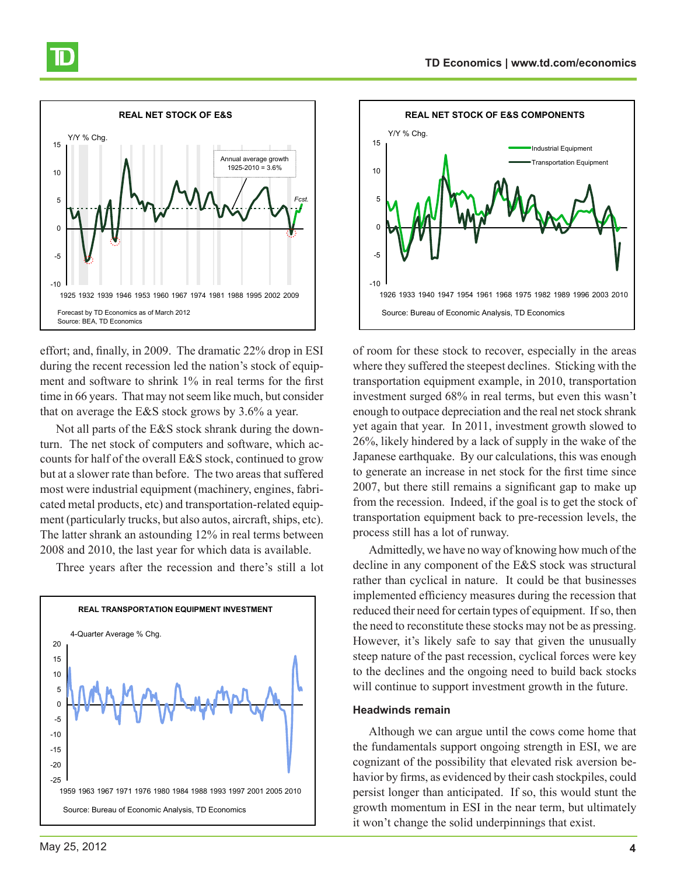



effort; and, finally, in 2009. The dramatic 22% drop in ESI during the recent recession led the nation's stock of equipment and software to shrink 1% in real terms for the first time in 66 years. That may not seem like much, but consider that on average the E&S stock grows by 3.6% a year.

Not all parts of the E&S stock shrank during the downturn. The net stock of computers and software, which accounts for half of the overall E&S stock, continued to grow but at a slower rate than before. The two areas that suffered most were industrial equipment (machinery, engines, fabricated metal products, etc) and transportation-related equipment (particularly trucks, but also autos, aircraft, ships, etc). The latter shrank an astounding 12% in real terms between 2008 and 2010, the last year for which data is available.

Three years after the recession and there's still a lot





of room for these stock to recover, especially in the areas where they suffered the steepest declines. Sticking with the transportation equipment example, in 2010, transportation investment surged 68% in real terms, but even this wasn't enough to outpace depreciation and the real net stock shrank yet again that year. In 2011, investment growth slowed to 26%, likely hindered by a lack of supply in the wake of the Japanese earthquake. By our calculations, this was enough to generate an increase in net stock for the first time since 2007, but there still remains a significant gap to make up from the recession. Indeed, if the goal is to get the stock of transportation equipment back to pre-recession levels, the process still has a lot of runway.

Admittedly, we have no way of knowing how much of the decline in any component of the E&S stock was structural rather than cyclical in nature. It could be that businesses implemented efficiency measures during the recession that reduced their need for certain types of equipment. If so, then the need to reconstitute these stocks may not be as pressing. However, it's likely safe to say that given the unusually steep nature of the past recession, cyclical forces were key to the declines and the ongoing need to build back stocks will continue to support investment growth in the future.

#### **Headwinds remain**

Although we can argue until the cows come home that the fundamentals support ongoing strength in ESI, we are cognizant of the possibility that elevated risk aversion behavior by firms, as evidenced by their cash stockpiles, could persist longer than anticipated. If so, this would stunt the growth momentum in ESI in the near term, but ultimately it won't change the solid underpinnings that exist.